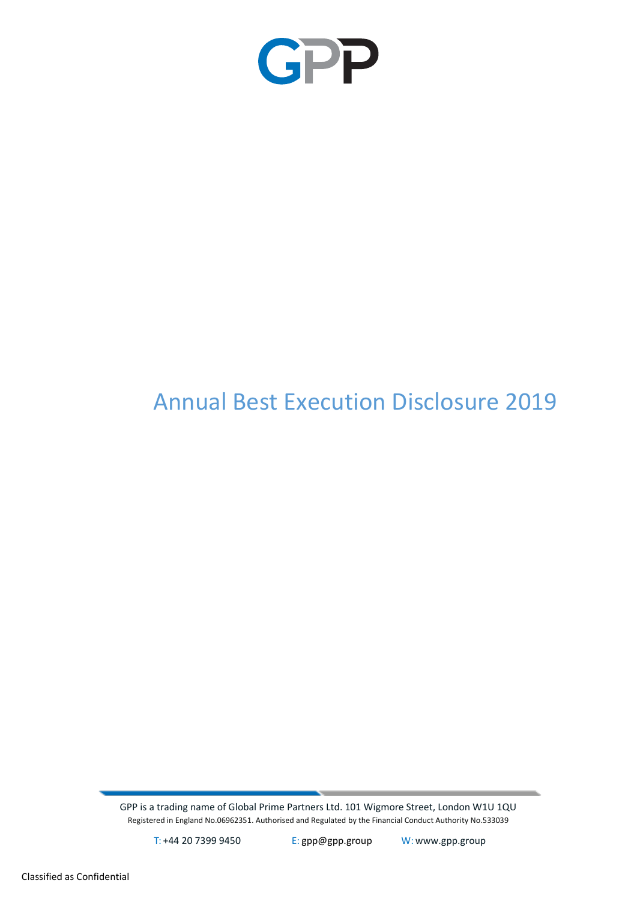

# Annual Best Execution Disclosure 2019

GPP is a trading name of Global Prime Partners Ltd. 101 Wigmore Street, London W1U 1QU Registered in England No.06962351. Authorised and Regulated by the Financial Conduct Authority No.533039

T: +44 20 7399 9450 E: [gpp@gpp.group](mailto:gpp@gpp.group) W: [www.gpp.group](http://www.gpp.group/)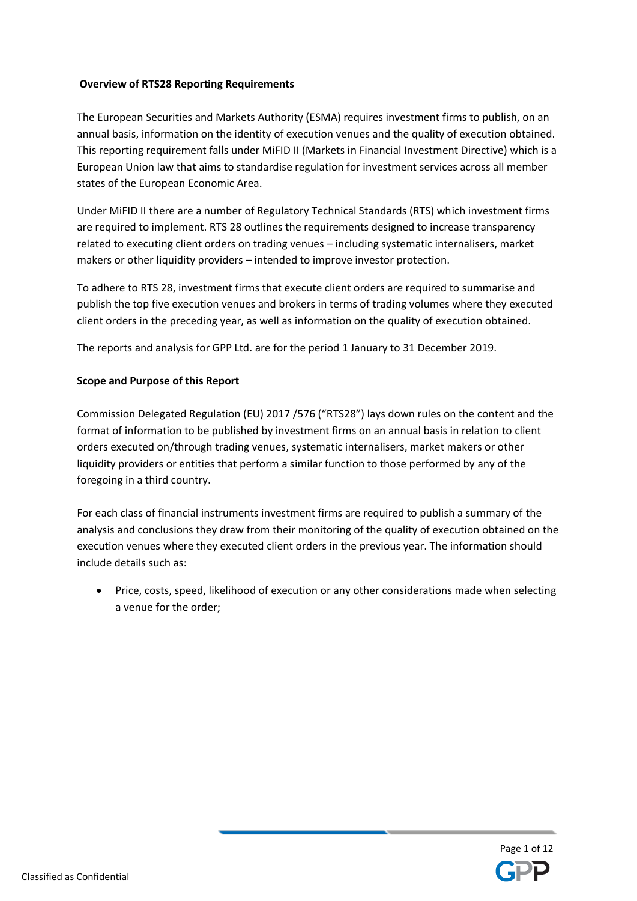## **Overview of RTS28 Reporting Requirements**

The European Securities and Markets Authority (ESMA) requires investment firms to publish, on an annual basis, information on the identity of execution venues and the quality of execution obtained. This reporting requirement falls under MiFID II (Markets in Financial Investment Directive) which is a European Union law that aims to standardise regulation for investment services across all member states of the European Economic Area.

Under MiFID II there are a number of Regulatory Technical Standards (RTS) which investment firms are required to implement. RTS 28 outlines the requirements designed to increase transparency related to executing client orders on trading venues – including systematic internalisers, market makers or other liquidity providers – intended to improve investor protection.

To adhere to RTS 28, investment firms that execute client orders are required to summarise and publish the top five execution venues and brokers in terms of trading volumes where they executed client orders in the preceding year, as well as information on the quality of execution obtained.

The reports and analysis for GPP Ltd. are for the period 1 January to 31 December 2019.

## **Scope and Purpose of this Report**

Commission Delegated Regulation (EU) 2017 /576 ("RTS28") lays down rules on the content and the format of information to be published by investment firms on an annual basis in relation to client orders executed on/through trading venues, systematic internalisers, market makers or other liquidity providers or entities that perform a similar function to those performed by any of the foregoing in a third country.

For each class of financial instruments investment firms are required to publish a summary of the analysis and conclusions they draw from their monitoring of the quality of execution obtained on the execution venues where they executed client orders in the previous year. The information should include details such as:

• Price, costs, speed, likelihood of execution or any other considerations made when selecting a venue for the order;

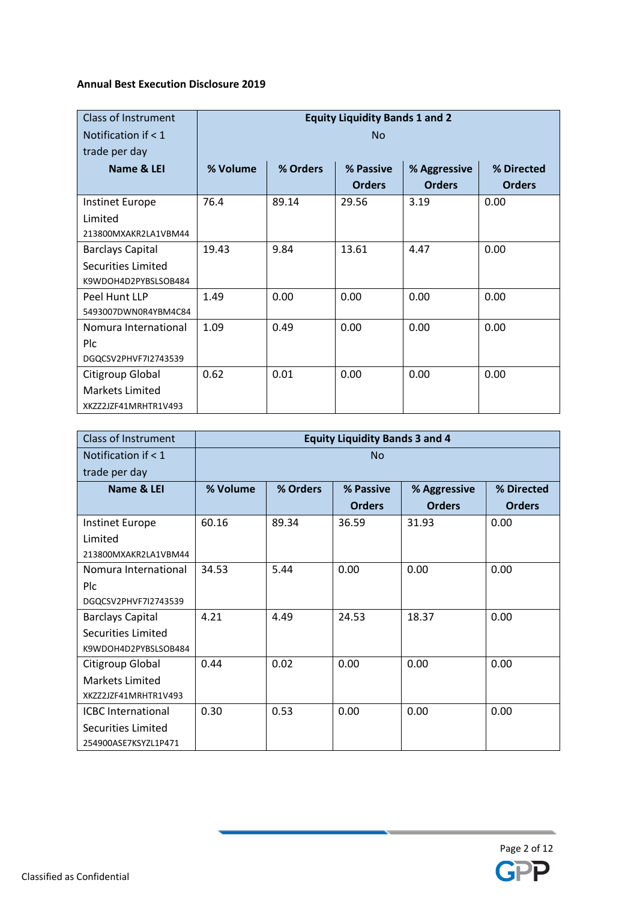#### **Annual Best Execution Disclosure 2019**

| <b>Class of Instrument</b> | <b>Equity Liquidity Bands 1 and 2</b> |                                                     |               |               |               |  |
|----------------------------|---------------------------------------|-----------------------------------------------------|---------------|---------------|---------------|--|
| Notification if $<$ 1      | <b>No</b>                             |                                                     |               |               |               |  |
| trade per day              |                                       |                                                     |               |               |               |  |
| Name & LEI                 | % Volume                              | % Orders<br>% Directed<br>% Passive<br>% Aggressive |               |               |               |  |
|                            |                                       |                                                     | <b>Orders</b> | <b>Orders</b> | <b>Orders</b> |  |
| <b>Instinet Europe</b>     | 76.4                                  | 89.14                                               | 29.56         | 3.19          | 0.00          |  |
| Limited                    |                                       |                                                     |               |               |               |  |
| 213800MXAKR2LA1VBM44       |                                       |                                                     |               |               |               |  |
| <b>Barclays Capital</b>    | 19.43                                 | 9.84                                                | 13.61         | 4.47          | 0.00          |  |
| Securities Limited         |                                       |                                                     |               |               |               |  |
| K9WDOH4D2PYBSLSOB484       |                                       |                                                     |               |               |               |  |
| Peel Hunt LLP              | 1.49                                  | 0.00                                                | 0.00          | 0.00          | 0.00          |  |
| 5493007DWN0R4YBM4C84       |                                       |                                                     |               |               |               |  |
| Nomura International       | 1.09                                  | 0.49                                                | 0.00          | 0.00          | 0.00          |  |
| Plc                        |                                       |                                                     |               |               |               |  |
| DGQCSV2PHVF7I2743539       |                                       |                                                     |               |               |               |  |
| Citigroup Global           | 0.62                                  | 0.01                                                | 0.00          | 0.00          | 0.00          |  |
| Markets Limited            |                                       |                                                     |               |               |               |  |
| XKZZ2JZF41MRHTR1V493       |                                       |                                                     |               |               |               |  |

| Class of Instrument       | <b>Equity Liquidity Bands 3 and 4</b> |                                                     |               |               |               |  |
|---------------------------|---------------------------------------|-----------------------------------------------------|---------------|---------------|---------------|--|
| Notification if $<$ 1     | <b>No</b>                             |                                                     |               |               |               |  |
| trade per day             |                                       |                                                     |               |               |               |  |
| Name & LEI                | % Volume                              | % Orders<br>% Passive<br>% Directed<br>% Aggressive |               |               |               |  |
|                           |                                       |                                                     | <b>Orders</b> | <b>Orders</b> | <b>Orders</b> |  |
| <b>Instinet Europe</b>    | 60.16                                 | 89.34                                               | 36.59         | 31.93         | 0.00          |  |
| Limited                   |                                       |                                                     |               |               |               |  |
| 213800MXAKR2LA1VBM44      |                                       |                                                     |               |               |               |  |
| Nomura International      | 34.53                                 | 5.44                                                | 0.00          | 0.00          | 0.00          |  |
| Plc                       |                                       |                                                     |               |               |               |  |
| DGQCSV2PHVF7I2743539      |                                       |                                                     |               |               |               |  |
| <b>Barclays Capital</b>   | 4.21                                  | 4.49                                                | 24.53         | 18.37         | 0.00          |  |
| Securities Limited        |                                       |                                                     |               |               |               |  |
| K9WDOH4D2PYBSLSOB484      |                                       |                                                     |               |               |               |  |
| Citigroup Global          | 0.44                                  | 0.02                                                | 0.00          | 0.00          | 0.00          |  |
| Markets Limited           |                                       |                                                     |               |               |               |  |
| XKZZ2JZF41MRHTR1V493      |                                       |                                                     |               |               |               |  |
| <b>ICBC</b> International | 0.30                                  | 0.53                                                | 0.00          | 0.00          | 0.00          |  |
| Securities Limited        |                                       |                                                     |               |               |               |  |
| 254900ASE7KSYZL1P471      |                                       |                                                     |               |               |               |  |

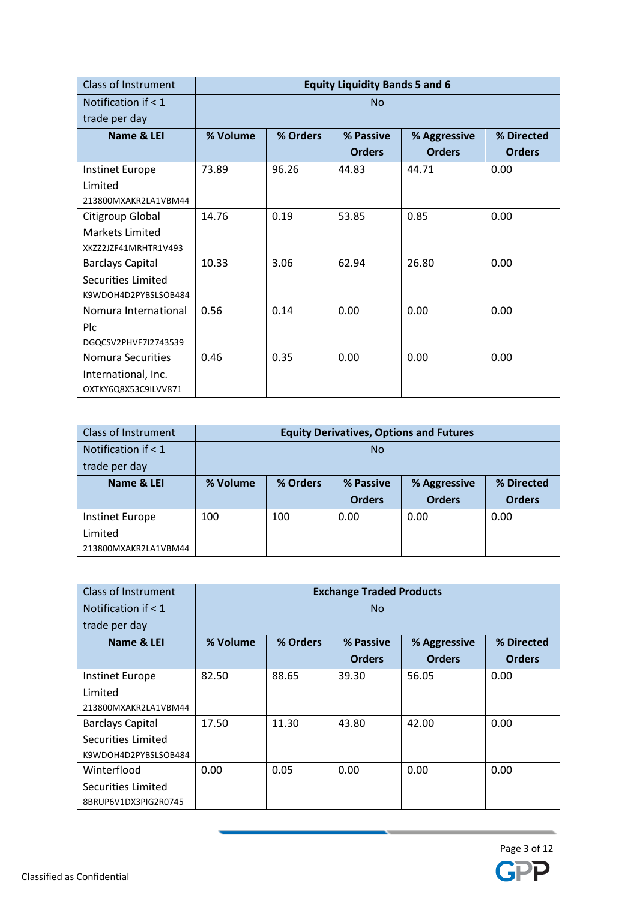| Class of Instrument      | <b>Equity Liquidity Bands 5 and 6</b> |          |               |               |               |  |
|--------------------------|---------------------------------------|----------|---------------|---------------|---------------|--|
| Notification if $<$ 1    | <b>No</b>                             |          |               |               |               |  |
| trade per day            |                                       |          |               |               |               |  |
| Name & LEI               | % Volume                              | % Orders | % Passive     | % Aggressive  | % Directed    |  |
|                          |                                       |          | <b>Orders</b> | <b>Orders</b> | <b>Orders</b> |  |
| <b>Instinet Europe</b>   | 73.89                                 | 96.26    | 44.83         | 44.71         | 0.00          |  |
| Limited                  |                                       |          |               |               |               |  |
| 213800MXAKR2LA1VBM44     |                                       |          |               |               |               |  |
| Citigroup Global         | 14.76                                 | 0.19     | 53.85         | 0.85          | 0.00          |  |
| <b>Markets Limited</b>   |                                       |          |               |               |               |  |
| XKZZ2JZF41MRHTR1V493     |                                       |          |               |               |               |  |
| <b>Barclays Capital</b>  | 10.33                                 | 3.06     | 62.94         | 26.80         | 0.00          |  |
| Securities Limited       |                                       |          |               |               |               |  |
| K9WDOH4D2PYBSLSOB484     |                                       |          |               |               |               |  |
| Nomura International     | 0.56                                  | 0.14     | 0.00          | 0.00          | 0.00          |  |
| Plc                      |                                       |          |               |               |               |  |
| DGQCSV2PHVF7I2743539     |                                       |          |               |               |               |  |
| <b>Nomura Securities</b> | 0.46                                  | 0.35     | 0.00          | 0.00          | 0.00          |  |
| International, Inc.      |                                       |          |               |               |               |  |
| OXTKY6Q8X53C9ILVV871     |                                       |          |               |               |               |  |

| <b>Class of Instrument</b> | <b>Equity Derivatives, Options and Futures</b> |          |               |               |               |
|----------------------------|------------------------------------------------|----------|---------------|---------------|---------------|
| Notification if $<$ 1      | No                                             |          |               |               |               |
| trade per day              |                                                |          |               |               |               |
| Name & LEI                 | % Volume                                       | % Orders | % Passive     | % Aggressive  | % Directed    |
|                            |                                                |          | <b>Orders</b> | <b>Orders</b> | <b>Orders</b> |
| Instinet Europe            | 100                                            | 100      | 0.00          | 0.00          | 0.00          |
| Limited                    |                                                |          |               |               |               |
| 213800MXAKR2LA1VBM44       |                                                |          |               |               |               |

| Class of Instrument     |          | <b>Exchange Traded Products</b> |               |               |               |  |
|-------------------------|----------|---------------------------------|---------------|---------------|---------------|--|
| Notification if $<$ 1   |          | <b>No</b>                       |               |               |               |  |
| trade per day           |          |                                 |               |               |               |  |
| Name & LEI              | % Volume | % Orders                        | % Passive     | % Aggressive  | % Directed    |  |
|                         |          |                                 | <b>Orders</b> | <b>Orders</b> | <b>Orders</b> |  |
| Instinet Europe         | 82.50    | 88.65                           | 39.30         | 56.05         | 0.00          |  |
| Limited                 |          |                                 |               |               |               |  |
| 213800MXAKR2LA1VBM44    |          |                                 |               |               |               |  |
| <b>Barclays Capital</b> | 17.50    | 11.30                           | 43.80         | 42.00         | 0.00          |  |
| Securities Limited      |          |                                 |               |               |               |  |
| K9WDOH4D2PYBSLSOB484    |          |                                 |               |               |               |  |
| Winterflood             | 0.00     | 0.05                            | 0.00          | 0.00          | 0.00          |  |
| Securities Limited      |          |                                 |               |               |               |  |
| 8BRUP6V1DX3PIG2R0745    |          |                                 |               |               |               |  |

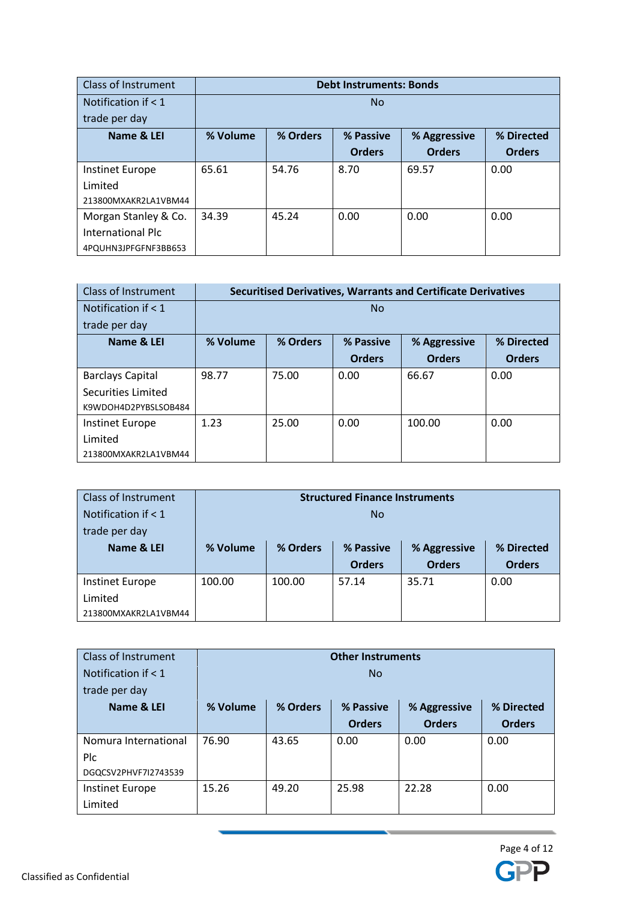| <b>Class of Instrument</b> | <b>Debt Instruments: Bonds</b> |                                                     |               |               |               |
|----------------------------|--------------------------------|-----------------------------------------------------|---------------|---------------|---------------|
| Notification if $<$ 1      | <b>No</b>                      |                                                     |               |               |               |
| trade per day              |                                |                                                     |               |               |               |
| Name & LEI                 | % Volume                       | % Orders<br>% Passive<br>% Directed<br>% Aggressive |               |               |               |
|                            |                                |                                                     | <b>Orders</b> | <b>Orders</b> | <b>Orders</b> |
| <b>Instinet Europe</b>     | 65.61                          | 54.76                                               | 8.70          | 69.57         | 0.00          |
| Limited                    |                                |                                                     |               |               |               |
| 213800MXAKR2LA1VBM44       |                                |                                                     |               |               |               |
| Morgan Stanley & Co.       | 34.39                          | 45.24                                               | 0.00          | 0.00          | 0.00          |
| International Plc          |                                |                                                     |               |               |               |
| 4PQUHN3JPFGFNF3BB653       |                                |                                                     |               |               |               |

| Class of Instrument     | <b>Securitised Derivatives, Warrants and Certificate Derivatives</b> |                                                     |               |               |               |
|-------------------------|----------------------------------------------------------------------|-----------------------------------------------------|---------------|---------------|---------------|
| Notification if $< 1$   | No                                                                   |                                                     |               |               |               |
| trade per day           |                                                                      |                                                     |               |               |               |
| Name & LEI              | % Volume                                                             | % Directed<br>% Orders<br>% Passive<br>% Aggressive |               |               |               |
|                         |                                                                      |                                                     | <b>Orders</b> | <b>Orders</b> | <b>Orders</b> |
| <b>Barclays Capital</b> | 98.77                                                                | 75.00                                               | 0.00          | 66.67         | 0.00          |
| Securities Limited      |                                                                      |                                                     |               |               |               |
| K9WDOH4D2PYBSLSOB484    |                                                                      |                                                     |               |               |               |
| <b>Instinet Europe</b>  | 1.23                                                                 | 25.00                                               | 0.00          | 100.00        | 0.00          |
| Limited                 |                                                                      |                                                     |               |               |               |
| 213800MXAKR2LA1VBM44    |                                                                      |                                                     |               |               |               |

| Class of Instrument   | <b>Structured Finance Instruments</b>             |        |               |               |               |
|-----------------------|---------------------------------------------------|--------|---------------|---------------|---------------|
| Notification if $<$ 1 | N <sub>0</sub>                                    |        |               |               |               |
| trade per day         |                                                   |        |               |               |               |
| Name & LEI            | % Orders<br>% Volume<br>% Passive<br>% Aggressive |        |               |               | % Directed    |
|                       |                                                   |        |               |               |               |
|                       |                                                   |        | <b>Orders</b> | <b>Orders</b> | <b>Orders</b> |
| Instinet Europe       | 100.00                                            | 100.00 | 57.14         | 35.71         | 0.00          |
| Limited               |                                                   |        |               |               |               |

| <b>Class of Instrument</b> | <b>Other Instruments</b>                                        |       |               |               |               |
|----------------------------|-----------------------------------------------------------------|-------|---------------|---------------|---------------|
| Notification if $<$ 1      | No                                                              |       |               |               |               |
| trade per day              |                                                                 |       |               |               |               |
| Name & LEI                 | % Volume<br>% Orders<br>% Directed<br>% Passive<br>% Aggressive |       |               |               |               |
|                            |                                                                 |       | <b>Orders</b> | <b>Orders</b> | <b>Orders</b> |
| Nomura International       | 76.90                                                           | 43.65 | 0.00          | 0.00          | 0.00          |
| Plc                        |                                                                 |       |               |               |               |
| DGQCSV2PHVF7I2743539       |                                                                 |       |               |               |               |
| <b>Instinet Europe</b>     | 15.26                                                           | 49.20 | 25.98         | 22.28         | 0.00          |
| Limited                    |                                                                 |       |               |               |               |

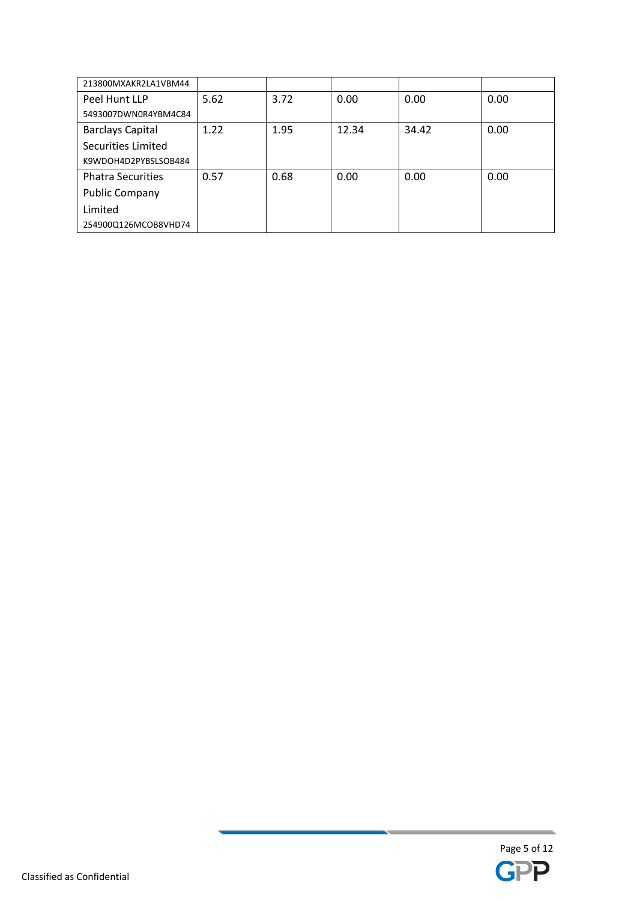| 213800MXAKR2LA1VBM44     |      |      |       |       |      |
|--------------------------|------|------|-------|-------|------|
| Peel Hunt LLP            | 5.62 | 3.72 | 0.00  | 0.00  | 0.00 |
| 5493007DWN0R4YBM4C84     |      |      |       |       |      |
| <b>Barclays Capital</b>  | 1.22 | 1.95 | 12.34 | 34.42 | 0.00 |
| Securities Limited       |      |      |       |       |      |
| K9WDOH4D2PYBSLSOB484     |      |      |       |       |      |
| <b>Phatra Securities</b> | 0.57 | 0.68 | 0.00  | 0.00  | 0.00 |
| <b>Public Company</b>    |      |      |       |       |      |
| Limited                  |      |      |       |       |      |
| 254900Q126MCOB8VHD74     |      |      |       |       |      |

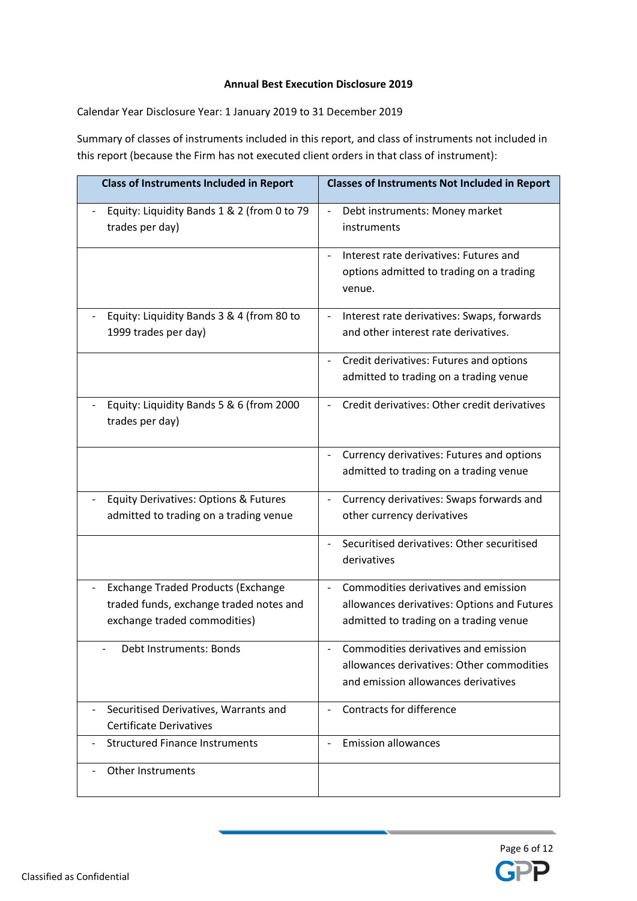#### **Annual Best Execution Disclosure 2019**

Calendar Year Disclosure Year: 1 January 2019 to 31 December 2019

Summary of classes of instruments included in this report, and class of instruments not included in this report (because the Firm has not executed client orders in that class of instrument):

| <b>Class of Instruments Included in Report</b>                                                                       | <b>Classes of Instruments Not Included in Report</b>                                                                          |
|----------------------------------------------------------------------------------------------------------------------|-------------------------------------------------------------------------------------------------------------------------------|
| Equity: Liquidity Bands 1 & 2 (from 0 to 79<br>trades per day)                                                       | Debt instruments: Money market<br>$\qquad \qquad \blacksquare$<br>instruments                                                 |
|                                                                                                                      | Interest rate derivatives: Futures and<br>options admitted to trading on a trading<br>venue.                                  |
| Equity: Liquidity Bands 3 & 4 (from 80 to<br>1999 trades per day)                                                    | Interest rate derivatives: Swaps, forwards<br>$\overline{\phantom{a}}$<br>and other interest rate derivatives.                |
|                                                                                                                      | Credit derivatives: Futures and options<br>admitted to trading on a trading venue                                             |
| Equity: Liquidity Bands 5 & 6 (from 2000<br>trades per day)                                                          | Credit derivatives: Other credit derivatives                                                                                  |
|                                                                                                                      | Currency derivatives: Futures and options<br>admitted to trading on a trading venue                                           |
| Equity Derivatives: Options & Futures<br>admitted to trading on a trading venue                                      | Currency derivatives: Swaps forwards and<br>other currency derivatives                                                        |
|                                                                                                                      | Securitised derivatives: Other securitised<br>derivatives                                                                     |
| <b>Exchange Traded Products (Exchange</b><br>traded funds, exchange traded notes and<br>exchange traded commodities) | Commodities derivatives and emission<br>allowances derivatives: Options and Futures<br>admitted to trading on a trading venue |
| Debt Instruments: Bonds                                                                                              | Commodities derivatives and emission<br>allowances derivatives: Other commodities<br>and emission allowances derivatives      |
| Securitised Derivatives, Warrants and<br><b>Certificate Derivatives</b>                                              | Contracts for difference                                                                                                      |
| <b>Structured Finance Instruments</b>                                                                                | <b>Emission allowances</b>                                                                                                    |
| <b>Other Instruments</b>                                                                                             |                                                                                                                               |

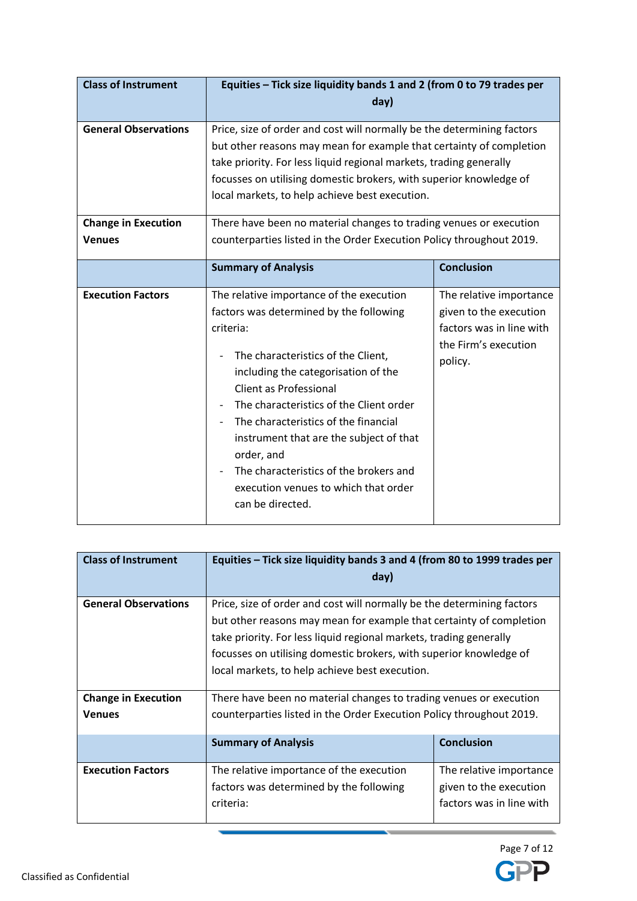| <b>Class of Instrument</b>                  | Equities - Tick size liquidity bands 1 and 2 (from 0 to 79 trades per<br>day)                                                                                                                                                                                                                                                                                                                                                                                    |                                                                                                                  |  |  |
|---------------------------------------------|------------------------------------------------------------------------------------------------------------------------------------------------------------------------------------------------------------------------------------------------------------------------------------------------------------------------------------------------------------------------------------------------------------------------------------------------------------------|------------------------------------------------------------------------------------------------------------------|--|--|
| <b>General Observations</b>                 | Price, size of order and cost will normally be the determining factors<br>but other reasons may mean for example that certainty of completion<br>take priority. For less liquid regional markets, trading generally<br>focusses on utilising domestic brokers, with superior knowledge of<br>local markets, to help achieve best execution.                                                                                                                      |                                                                                                                  |  |  |
| <b>Change in Execution</b><br><b>Venues</b> | There have been no material changes to trading venues or execution<br>counterparties listed in the Order Execution Policy throughout 2019.                                                                                                                                                                                                                                                                                                                       |                                                                                                                  |  |  |
|                                             | <b>Summary of Analysis</b>                                                                                                                                                                                                                                                                                                                                                                                                                                       | <b>Conclusion</b>                                                                                                |  |  |
| <b>Execution Factors</b>                    | The relative importance of the execution<br>factors was determined by the following<br>criteria:<br>The characteristics of the Client,<br>including the categorisation of the<br><b>Client as Professional</b><br>The characteristics of the Client order<br>The characteristics of the financial<br>instrument that are the subject of that<br>order, and<br>The characteristics of the brokers and<br>execution venues to which that order<br>can be directed. | The relative importance<br>given to the execution<br>factors was in line with<br>the Firm's execution<br>policy. |  |  |

| <b>Class of Instrument</b>  | Equities - Tick size liquidity bands 3 and 4 (from 80 to 1999 trades per<br>day)                                                                                                                                                                                                                                                            |                          |  |
|-----------------------------|---------------------------------------------------------------------------------------------------------------------------------------------------------------------------------------------------------------------------------------------------------------------------------------------------------------------------------------------|--------------------------|--|
| <b>General Observations</b> | Price, size of order and cost will normally be the determining factors<br>but other reasons may mean for example that certainty of completion<br>take priority. For less liquid regional markets, trading generally<br>focusses on utilising domestic brokers, with superior knowledge of<br>local markets, to help achieve best execution. |                          |  |
| <b>Change in Execution</b>  | There have been no material changes to trading venues or execution                                                                                                                                                                                                                                                                          |                          |  |
| <b>Venues</b>               | counterparties listed in the Order Execution Policy throughout 2019.                                                                                                                                                                                                                                                                        |                          |  |
|                             | <b>Summary of Analysis</b>                                                                                                                                                                                                                                                                                                                  | <b>Conclusion</b>        |  |
| <b>Execution Factors</b>    | The relative importance of the execution                                                                                                                                                                                                                                                                                                    | The relative importance  |  |
|                             | factors was determined by the following                                                                                                                                                                                                                                                                                                     | given to the execution   |  |
|                             | criteria:                                                                                                                                                                                                                                                                                                                                   | factors was in line with |  |

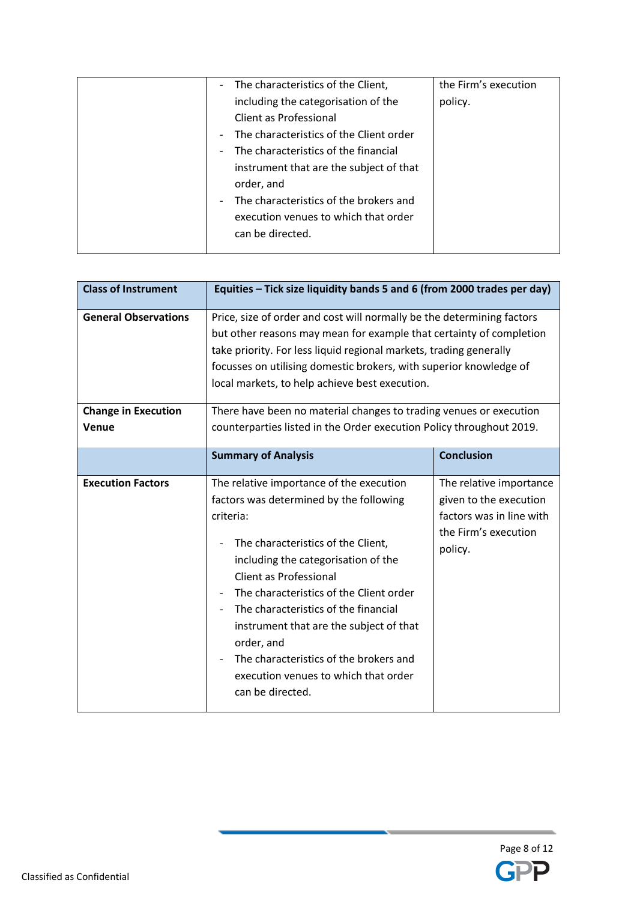| The characteristics of the Client,                                  | the Firm's execution |
|---------------------------------------------------------------------|----------------------|
| $\overline{\phantom{a}}$                                            |                      |
| including the categorisation of the                                 | policy.              |
| Client as Professional                                              |                      |
| The characteristics of the Client order<br>$\overline{\phantom{a}}$ |                      |
| The characteristics of the financial<br>$\overline{\phantom{a}}$    |                      |
| instrument that are the subject of that                             |                      |
| order, and                                                          |                      |
| The characteristics of the brokers and<br>$\overline{\phantom{a}}$  |                      |
| execution venues to which that order                                |                      |
| can be directed.                                                    |                      |
|                                                                     |                      |

| <b>Class of Instrument</b>  | Equities - Tick size liquidity bands 5 and 6 (from 2000 trades per day)                                                                                                                                                                                                                                                                                                                                                                                          |                                                                                                                  |
|-----------------------------|------------------------------------------------------------------------------------------------------------------------------------------------------------------------------------------------------------------------------------------------------------------------------------------------------------------------------------------------------------------------------------------------------------------------------------------------------------------|------------------------------------------------------------------------------------------------------------------|
| <b>General Observations</b> | Price, size of order and cost will normally be the determining factors<br>but other reasons may mean for example that certainty of completion<br>take priority. For less liquid regional markets, trading generally<br>focusses on utilising domestic brokers, with superior knowledge of<br>local markets, to help achieve best execution.                                                                                                                      |                                                                                                                  |
| <b>Change in Execution</b>  | There have been no material changes to trading venues or execution                                                                                                                                                                                                                                                                                                                                                                                               |                                                                                                                  |
| Venue                       | counterparties listed in the Order execution Policy throughout 2019.                                                                                                                                                                                                                                                                                                                                                                                             |                                                                                                                  |
|                             | <b>Summary of Analysis</b>                                                                                                                                                                                                                                                                                                                                                                                                                                       | <b>Conclusion</b>                                                                                                |
| <b>Execution Factors</b>    | The relative importance of the execution<br>factors was determined by the following<br>criteria:<br>The characteristics of the Client,<br>including the categorisation of the<br><b>Client as Professional</b><br>The characteristics of the Client order<br>The characteristics of the financial<br>instrument that are the subject of that<br>order, and<br>The characteristics of the brokers and<br>execution venues to which that order<br>can be directed. | The relative importance<br>given to the execution<br>factors was in line with<br>the Firm's execution<br>policy. |

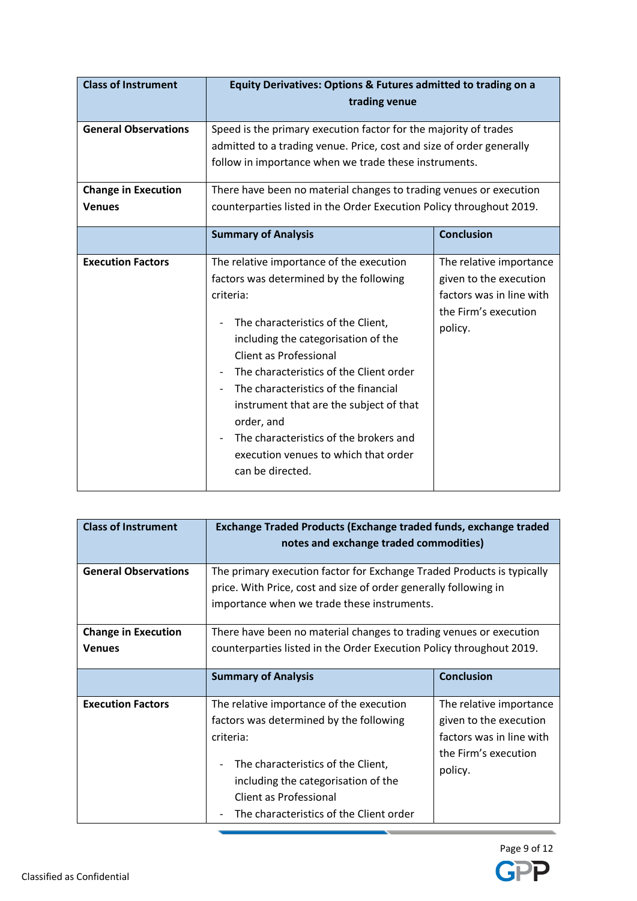| <b>Class of Instrument</b>                                                 | Equity Derivatives: Options & Futures admitted to trading on a<br>trading venue                                                                                                                                                                                                                                                                                                                                                                           |                                                                                                                  |
|----------------------------------------------------------------------------|-----------------------------------------------------------------------------------------------------------------------------------------------------------------------------------------------------------------------------------------------------------------------------------------------------------------------------------------------------------------------------------------------------------------------------------------------------------|------------------------------------------------------------------------------------------------------------------|
| <b>General Observations</b><br><b>Change in Execution</b><br><b>Venues</b> | Speed is the primary execution factor for the majority of trades<br>admitted to a trading venue. Price, cost and size of order generally<br>follow in importance when we trade these instruments.<br>There have been no material changes to trading venues or execution<br>counterparties listed in the Order Execution Policy throughout 2019.                                                                                                           |                                                                                                                  |
|                                                                            | <b>Summary of Analysis</b>                                                                                                                                                                                                                                                                                                                                                                                                                                | <b>Conclusion</b>                                                                                                |
| <b>Execution Factors</b>                                                   | The relative importance of the execution<br>factors was determined by the following<br>criteria:<br>The characteristics of the Client,<br>including the categorisation of the<br>Client as Professional<br>The characteristics of the Client order<br>The characteristics of the financial<br>instrument that are the subject of that<br>order, and<br>The characteristics of the brokers and<br>execution venues to which that order<br>can be directed. | The relative importance<br>given to the execution<br>factors was in line with<br>the Firm's execution<br>policy. |

| <b>Class of Instrument</b>                  | Exchange Traded Products (Exchange traded funds, exchange traded<br>notes and exchange traded commodities)                                                                                                                                                                         |                                                                                                                  |  |
|---------------------------------------------|------------------------------------------------------------------------------------------------------------------------------------------------------------------------------------------------------------------------------------------------------------------------------------|------------------------------------------------------------------------------------------------------------------|--|
| <b>General Observations</b>                 | The primary execution factor for Exchange Traded Products is typically<br>price. With Price, cost and size of order generally following in                                                                                                                                         |                                                                                                                  |  |
|                                             | importance when we trade these instruments.                                                                                                                                                                                                                                        |                                                                                                                  |  |
| <b>Change in Execution</b><br><b>Venues</b> | There have been no material changes to trading venues or execution<br>counterparties listed in the Order Execution Policy throughout 2019.                                                                                                                                         |                                                                                                                  |  |
|                                             | <b>Summary of Analysis</b>                                                                                                                                                                                                                                                         | <b>Conclusion</b>                                                                                                |  |
| <b>Execution Factors</b>                    | The relative importance of the execution<br>factors was determined by the following<br>criteria:<br>The characteristics of the Client,<br>$\qquad \qquad \blacksquare$<br>including the categorisation of the<br>Client as Professional<br>The characteristics of the Client order | The relative importance<br>given to the execution<br>factors was in line with<br>the Firm's execution<br>policy. |  |

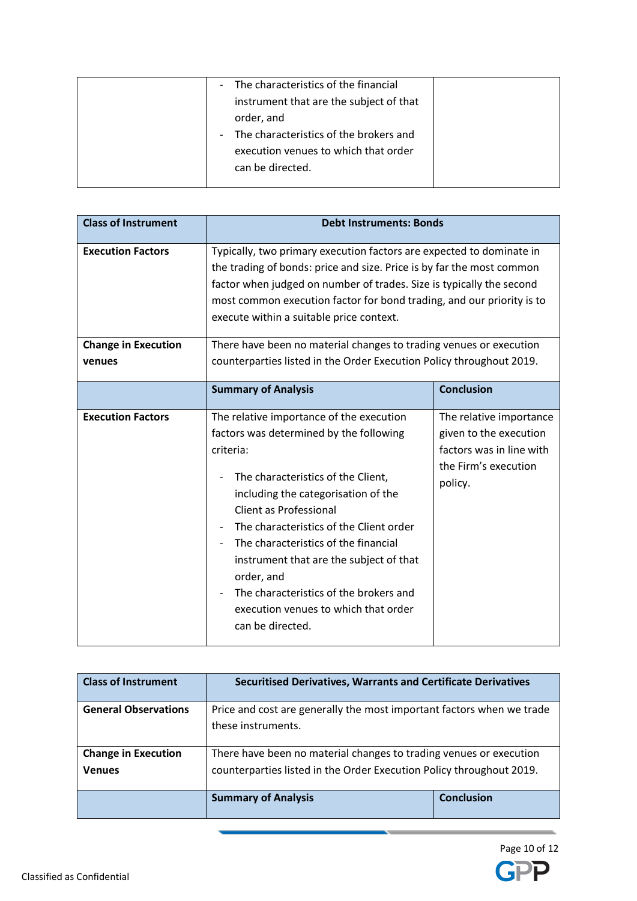| The characteristics of the financial<br>$\sim$   |
|--------------------------------------------------|
| instrument that are the subject of that          |
| order, and                                       |
| The characteristics of the brokers and<br>$\sim$ |
| execution venues to which that order             |
| can be directed.                                 |
|                                                  |

| <b>Class of Instrument</b>           | <b>Debt Instruments: Bonds</b>                                                                                                                                                                                                                                                                                                                                                                                                                                   |                                                                                                                  |
|--------------------------------------|------------------------------------------------------------------------------------------------------------------------------------------------------------------------------------------------------------------------------------------------------------------------------------------------------------------------------------------------------------------------------------------------------------------------------------------------------------------|------------------------------------------------------------------------------------------------------------------|
| <b>Execution Factors</b>             | Typically, two primary execution factors are expected to dominate in<br>the trading of bonds: price and size. Price is by far the most common<br>factor when judged on number of trades. Size is typically the second<br>most common execution factor for bond trading, and our priority is to<br>execute within a suitable price context.                                                                                                                       |                                                                                                                  |
| <b>Change in Execution</b><br>venues | There have been no material changes to trading venues or execution<br>counterparties listed in the Order Execution Policy throughout 2019.                                                                                                                                                                                                                                                                                                                       |                                                                                                                  |
|                                      | <b>Summary of Analysis</b>                                                                                                                                                                                                                                                                                                                                                                                                                                       | <b>Conclusion</b>                                                                                                |
| <b>Execution Factors</b>             | The relative importance of the execution<br>factors was determined by the following<br>criteria:<br>The characteristics of the Client,<br>including the categorisation of the<br><b>Client as Professional</b><br>The characteristics of the Client order<br>The characteristics of the financial<br>instrument that are the subject of that<br>order, and<br>The characteristics of the brokers and<br>execution venues to which that order<br>can be directed. | The relative importance<br>given to the execution<br>factors was in line with<br>the Firm's execution<br>policy. |

| <b>Class of Instrument</b>  | <b>Securitised Derivatives, Warrants and Certificate Derivatives</b>  |                   |
|-----------------------------|-----------------------------------------------------------------------|-------------------|
| <b>General Observations</b> | Price and cost are generally the most important factors when we trade |                   |
|                             | these instruments.                                                    |                   |
|                             |                                                                       |                   |
| <b>Change in Execution</b>  | There have been no material changes to trading venues or execution    |                   |
| <b>Venues</b>               | counterparties listed in the Order Execution Policy throughout 2019.  |                   |
|                             |                                                                       |                   |
|                             | <b>Summary of Analysis</b>                                            | <b>Conclusion</b> |
|                             |                                                                       |                   |

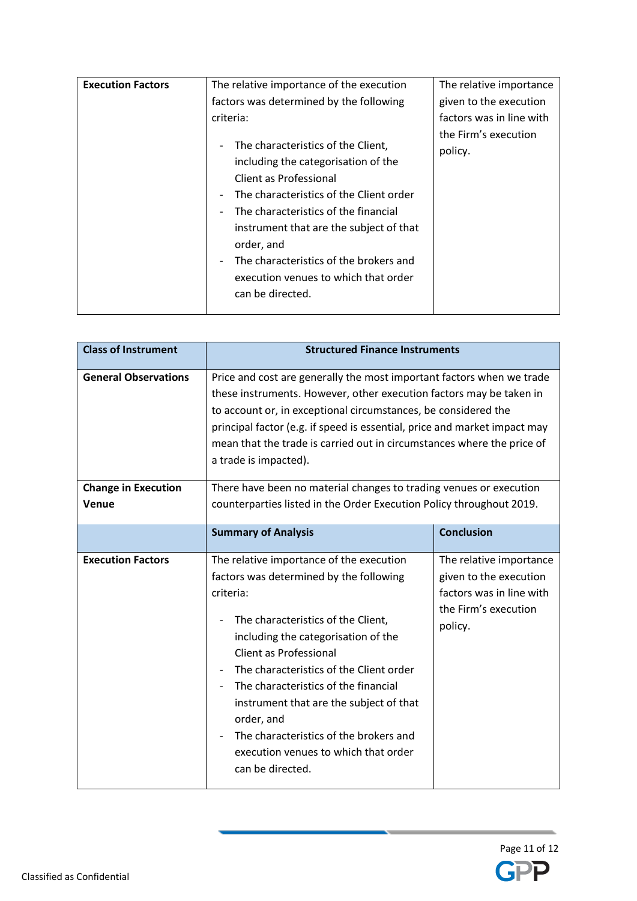| <b>Execution Factors</b> | The relative importance of the execution                                                                                                                                                                                                                                                                                                              | The relative importance         |
|--------------------------|-------------------------------------------------------------------------------------------------------------------------------------------------------------------------------------------------------------------------------------------------------------------------------------------------------------------------------------------------------|---------------------------------|
|                          | factors was determined by the following                                                                                                                                                                                                                                                                                                               | given to the execution          |
|                          | criteria:                                                                                                                                                                                                                                                                                                                                             | factors was in line with        |
|                          | The characteristics of the Client,<br>including the categorisation of the<br>Client as Professional<br>The characteristics of the Client order<br>The characteristics of the financial<br>$\qquad \qquad \blacksquare$<br>instrument that are the subject of that<br>order, and<br>The characteristics of the brokers and<br>$\overline{\phantom{a}}$ | the Firm's execution<br>policy. |
|                          | execution venues to which that order<br>can be directed.                                                                                                                                                                                                                                                                                              |                                 |

| <b>Class of Instrument</b>          | <b>Structured Finance Instruments</b>                                                                                                                                                                                                                                                                                                                                                                                                                            |                                                                                                                  |
|-------------------------------------|------------------------------------------------------------------------------------------------------------------------------------------------------------------------------------------------------------------------------------------------------------------------------------------------------------------------------------------------------------------------------------------------------------------------------------------------------------------|------------------------------------------------------------------------------------------------------------------|
| <b>General Observations</b>         | Price and cost are generally the most important factors when we trade<br>these instruments. However, other execution factors may be taken in<br>to account or, in exceptional circumstances, be considered the<br>principal factor (e.g. if speed is essential, price and market impact may<br>mean that the trade is carried out in circumstances where the price of<br>a trade is impacted).                                                                   |                                                                                                                  |
| <b>Change in Execution</b><br>Venue | There have been no material changes to trading venues or execution<br>counterparties listed in the Order Execution Policy throughout 2019.                                                                                                                                                                                                                                                                                                                       |                                                                                                                  |
|                                     | <b>Summary of Analysis</b>                                                                                                                                                                                                                                                                                                                                                                                                                                       | <b>Conclusion</b>                                                                                                |
| <b>Execution Factors</b>            | The relative importance of the execution<br>factors was determined by the following<br>criteria:<br>The characteristics of the Client,<br>including the categorisation of the<br><b>Client as Professional</b><br>The characteristics of the Client order<br>The characteristics of the financial<br>instrument that are the subject of that<br>order, and<br>The characteristics of the brokers and<br>execution venues to which that order<br>can be directed. | The relative importance<br>given to the execution<br>factors was in line with<br>the Firm's execution<br>policy. |